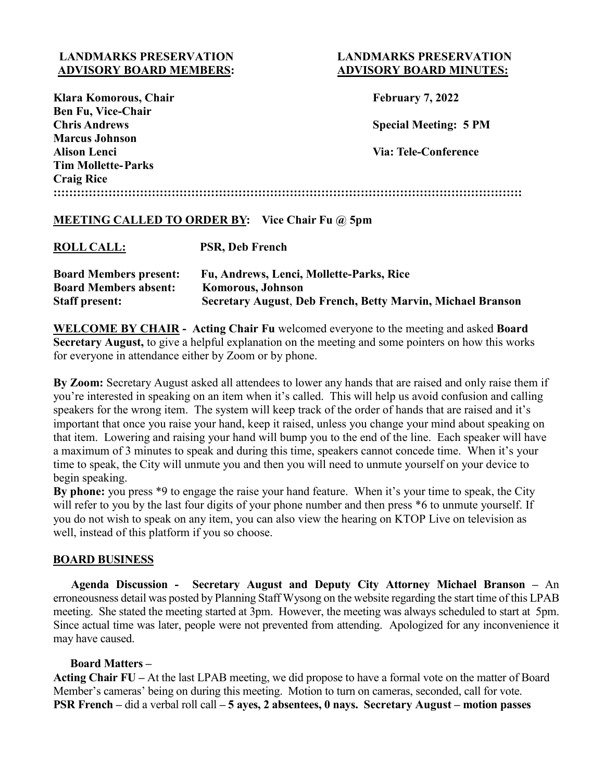# **LANDMARKS PRESERVATION LANDMARKS PRESERVATION ADVISORY BOARD MEMBERS: ADVISORY BOARD MINUTES:**

| Klara Komorous, Chair                                  | <b>February 7, 2022</b>      |
|--------------------------------------------------------|------------------------------|
| <b>Ben Fu, Vice-Chair</b>                              |                              |
| <b>Chris Andrews</b>                                   | <b>Special Meeting: 5 PM</b> |
| <b>Marcus Johnson</b>                                  |                              |
| Alison Lenci                                           | <b>Via: Tele-Conference</b>  |
| <b>Tim Mollette-Parks</b>                              |                              |
| <b>Craig Rice</b>                                      |                              |
|                                                        |                              |
|                                                        |                              |
| <b>MEETING CALLED TO ORDER BY:</b> Vice Chair Fu @ 5pm |                              |
|                                                        |                              |

| <b>ROLL CALL:</b>             | <b>PSR, Deb French</b>                                      |
|-------------------------------|-------------------------------------------------------------|
| <b>Board Members present:</b> | Fu, Andrews, Lenci, Mollette-Parks, Rice                    |
| <b>Board Members absent:</b>  | <b>Komorous, Johnson</b>                                    |
| <b>Staff present:</b>         | Secretary August, Deb French, Betty Marvin, Michael Branson |

**WELCOME BY CHAIR - Acting Chair Fu** welcomed everyone to the meeting and asked **Board Secretary August,** to give a helpful explanation on the meeting and some pointers on how this works for everyone in attendance either by Zoom or by phone.

**By Zoom:** Secretary August asked all attendees to lower any hands that are raised and only raise them if you're interested in speaking on an item when it's called. This will help us avoid confusion and calling speakers for the wrong item. The system will keep track of the order of hands that are raised and it's important that once you raise your hand, keep it raised, unless you change your mind about speaking on that item. Lowering and raising your hand will bump you to the end of the line. Each speaker will have a maximum of 3 minutes to speak and during this time, speakers cannot concede time. When it's your time to speak, the City will unmute you and then you will need to unmute yourself on your device to begin speaking.

**By phone:** you press \*9 to engage the raise your hand feature. When it's your time to speak, the City will refer to you by the last four digits of your phone number and then press  $*6$  to unmute yourself. If you do not wish to speak on any item, you can also view the hearing on KTOP Live on television as well, instead of this platform if you so choose.

## **BOARD BUSINESS**

 **Agenda Discussion - Secretary August and Deputy City Attorney Michael Branson –** An erroneousness detail was posted by Planning Staff Wysong on the website regarding the start time of this LPAB meeting. She stated the meeting started at 3pm. However, the meeting was always scheduled to start at 5pm. Since actual time was later, people were not prevented from attending. Apologized for any inconvenience it may have caused.

## **Board Matters –**

**Acting Chair FU –** At the last LPAB meeting, we did propose to have a formal vote on the matter of Board Member's cameras' being on during this meeting. Motion to turn on cameras, seconded, call for vote. **PSR French –** did a verbal roll call **– 5 ayes, 2 absentees, 0 nays. Secretary August – motion passes**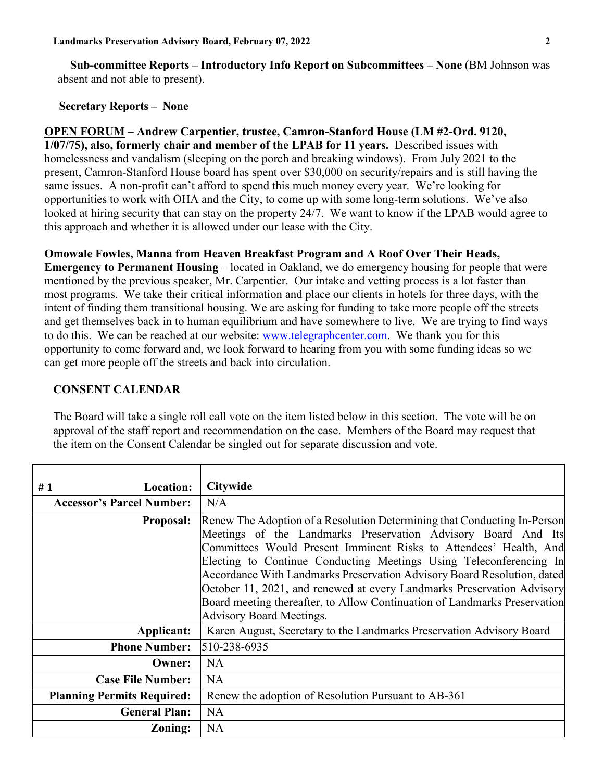**Sub-committee Reports – Introductory Info Report on Subcommittees – None** (BM Johnson was absent and not able to present).

#### **Secretary Reports – None**

**OPEN FORUM – Andrew Carpentier, trustee, Camron-Stanford House (LM #2-Ord. 9120, 1/07/75), also, formerly chair and member of the LPAB for 11 years.** Described issues with homelessness and vandalism (sleeping on the porch and breaking windows). From July 2021 to the present, Camron-Stanford House board has spent over \$30,000 on security/repairs and is still having the same issues. A non-profit can't afford to spend this much money every year. We're looking for opportunities to work with OHA and the City, to come up with some long-term solutions. We've also looked at hiring security that can stay on the property 24/7. We want to know if the LPAB would agree to this approach and whether it is allowed under our lease with the City.

### **Omowale Fowles, Manna from Heaven Breakfast Program and A Roof Over Their Heads,**

**Emergency to Permanent Housing** – located in Oakland, we do emergency housing for people that were mentioned by the previous speaker, Mr. Carpentier. Our intake and vetting process is a lot faster than most programs. We take their critical information and place our clients in hotels for three days, with the intent of finding them transitional housing. We are asking for funding to take more people off the streets and get themselves back in to human equilibrium and have somewhere to live. We are trying to find ways to do this. We can be reached at our website: [www.telegraphcenter.com.](http://www.telegraphcenter.com/) We thank you for this opportunity to come forward and, we look forward to hearing from you with some funding ideas so we can get more people off the streets and back into circulation.

### **CONSENT CALENDAR**

The Board will take a single roll call vote on the item listed below in this section. The vote will be on approval of the staff report and recommendation on the case. Members of the Board may request that the item on the Consent Calendar be singled out for separate discussion and vote.

| #1<br>Location:                   | Citywide                                                                                                                                                                                                                                                                                                                                                                                                                                                                                                                                                  |
|-----------------------------------|-----------------------------------------------------------------------------------------------------------------------------------------------------------------------------------------------------------------------------------------------------------------------------------------------------------------------------------------------------------------------------------------------------------------------------------------------------------------------------------------------------------------------------------------------------------|
| <b>Accessor's Parcel Number:</b>  | N/A                                                                                                                                                                                                                                                                                                                                                                                                                                                                                                                                                       |
| <b>Proposal:</b>                  | Renew The Adoption of a Resolution Determining that Conducting In-Person<br>Meetings of the Landmarks Preservation Advisory Board And Its<br>Committees Would Present Imminent Risks to Attendees' Health, And<br>Electing to Continue Conducting Meetings Using Teleconferencing In<br>Accordance With Landmarks Preservation Advisory Board Resolution, dated<br>October 11, 2021, and renewed at every Landmarks Preservation Advisory<br>Board meeting thereafter, to Allow Continuation of Landmarks Preservation<br><b>Advisory Board Meetings.</b> |
| Applicant:                        | Karen August, Secretary to the Landmarks Preservation Advisory Board                                                                                                                                                                                                                                                                                                                                                                                                                                                                                      |
| <b>Phone Number:</b>              | 510-238-6935                                                                                                                                                                                                                                                                                                                                                                                                                                                                                                                                              |
| Owner:                            | NA                                                                                                                                                                                                                                                                                                                                                                                                                                                                                                                                                        |
| <b>Case File Number:</b>          | <b>NA</b>                                                                                                                                                                                                                                                                                                                                                                                                                                                                                                                                                 |
| <b>Planning Permits Required:</b> | Renew the adoption of Resolution Pursuant to AB-361                                                                                                                                                                                                                                                                                                                                                                                                                                                                                                       |
| <b>General Plan:</b>              | NA                                                                                                                                                                                                                                                                                                                                                                                                                                                                                                                                                        |
| <b>Zoning:</b>                    | <b>NA</b>                                                                                                                                                                                                                                                                                                                                                                                                                                                                                                                                                 |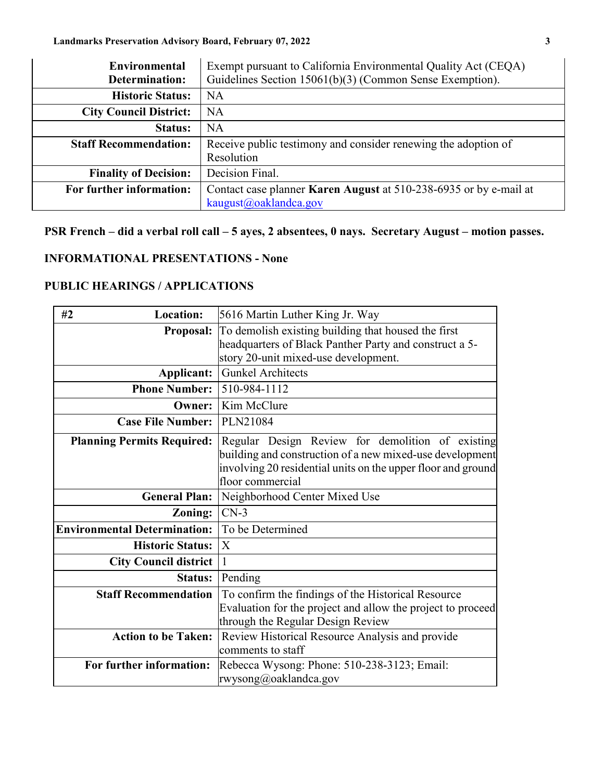| Environmental                 | Exempt pursuant to California Environmental Quality Act (CEQA)           |
|-------------------------------|--------------------------------------------------------------------------|
| Determination:                | Guidelines Section 15061(b)(3) (Common Sense Exemption).                 |
| <b>Historic Status:</b>       | NA                                                                       |
| <b>City Council District:</b> | NA                                                                       |
| <b>Status:</b>                | NA                                                                       |
| <b>Staff Recommendation:</b>  | Receive public testimony and consider renewing the adoption of           |
|                               | Resolution                                                               |
| <b>Finality of Decision:</b>  | Decision Final.                                                          |
| For further information:      | Contact case planner <b>Karen August</b> at 510-238-6935 or by e-mail at |
|                               | kaugust@oaklandca.gov                                                    |

# **PSR French – did a verbal roll call – 5 ayes, 2 absentees, 0 nays. Secretary August – motion passes.**

# **INFORMATIONAL PRESENTATIONS - None**

# **PUBLIC HEARINGS / APPLICATIONS**

| <b>Location:</b><br>#2              | 5616 Martin Luther King Jr. Way                                                                                                                                                                  |  |
|-------------------------------------|--------------------------------------------------------------------------------------------------------------------------------------------------------------------------------------------------|--|
| <b>Proposal:</b>                    | To demolish existing building that housed the first                                                                                                                                              |  |
|                                     | headquarters of Black Panther Party and construct a 5-                                                                                                                                           |  |
|                                     | story 20-unit mixed-use development.                                                                                                                                                             |  |
| Applicant:                          | <b>Gunkel Architects</b>                                                                                                                                                                         |  |
| <b>Phone Number: 510-984-1112</b>   |                                                                                                                                                                                                  |  |
| <b>Owner:</b>                       | Kim McClure                                                                                                                                                                                      |  |
| <b>Case File Number:</b>            | PLN21084                                                                                                                                                                                         |  |
| <b>Planning Permits Required:</b>   | Regular Design Review for demolition of existing<br>building and construction of a new mixed-use development<br>involving 20 residential units on the upper floor and ground<br>floor commercial |  |
| <b>General Plan:</b>                | Neighborhood Center Mixed Use                                                                                                                                                                    |  |
| Zoning:                             | $CN-3$                                                                                                                                                                                           |  |
| <b>Environmental Determination:</b> | To be Determined                                                                                                                                                                                 |  |
| <b>Historic Status:</b>             | $\mathbf{X}$                                                                                                                                                                                     |  |
| <b>City Council district</b>        | $\mathbf{1}$                                                                                                                                                                                     |  |
| <b>Status:</b>                      | Pending                                                                                                                                                                                          |  |
| <b>Staff Recommendation</b>         | To confirm the findings of the Historical Resource<br>Evaluation for the project and allow the project to proceed<br>through the Regular Design Review                                           |  |
| <b>Action to be Taken:</b>          | <b>Review Historical Resource Analysis and provide</b><br>comments to staff                                                                                                                      |  |
| For further information:            | Rebecca Wysong: Phone: 510-238-3123; Email:<br>rwysong@oaklandca.gov                                                                                                                             |  |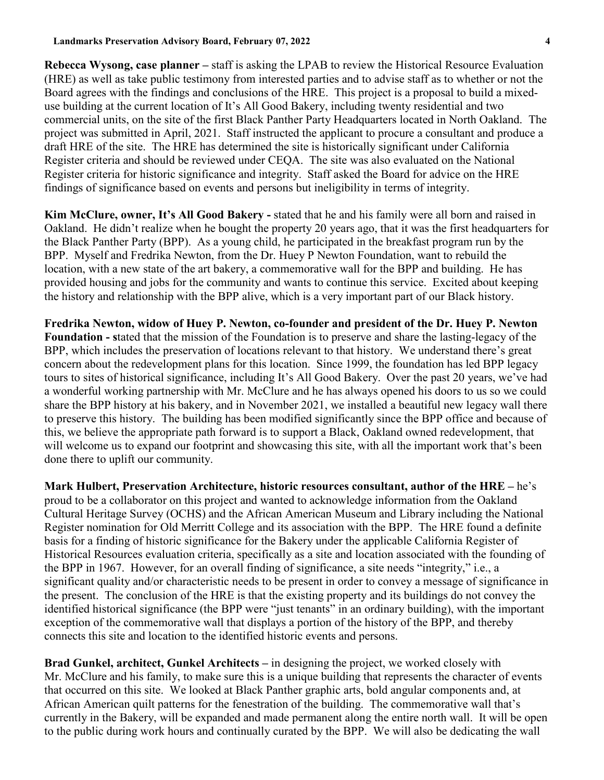**Rebecca Wysong, case planner –** staff is asking the LPAB to review the Historical Resource Evaluation (HRE) as well as take public testimony from interested parties and to advise staff as to whether or not the Board agrees with the findings and conclusions of the HRE. This project is a proposal to build a mixeduse building at the current location of It's All Good Bakery, including twenty residential and two commercial units, on the site of the first Black Panther Party Headquarters located in North Oakland. The project was submitted in April, 2021. Staff instructed the applicant to procure a consultant and produce a draft HRE of the site. The HRE has determined the site is historically significant under California Register criteria and should be reviewed under CEQA. The site was also evaluated on the National Register criteria for historic significance and integrity. Staff asked the Board for advice on the HRE findings of significance based on events and persons but ineligibility in terms of integrity.

**Kim McClure, owner, It's All Good Bakery -** stated that he and his family were all born and raised in Oakland. He didn't realize when he bought the property 20 years ago, that it was the first headquarters for the Black Panther Party (BPP). As a young child, he participated in the breakfast program run by the BPP. Myself and Fredrika Newton, from the Dr. Huey P Newton Foundation, want to rebuild the location, with a new state of the art bakery, a commemorative wall for the BPP and building. He has provided housing and jobs for the community and wants to continue this service. Excited about keeping the history and relationship with the BPP alive, which is a very important part of our Black history.

**Fredrika Newton, widow of Huey P. Newton, co-founder and president of the Dr. Huey P. Newton Foundation - s**tated that the mission of the Foundation is to preserve and share the lasting-legacy of the BPP, which includes the preservation of locations relevant to that history. We understand there's great concern about the redevelopment plans for this location. Since 1999, the foundation has led BPP legacy tours to sites of historical significance, including It's All Good Bakery. Over the past 20 years, we've had a wonderful working partnership with Mr. McClure and he has always opened his doors to us so we could share the BPP history at his bakery, and in November 2021, we installed a beautiful new legacy wall there to preserve this history. The building has been modified significantly since the BPP office and because of this, we believe the appropriate path forward is to support a Black, Oakland owned redevelopment, that will welcome us to expand our footprint and showcasing this site, with all the important work that's been done there to uplift our community.

**Mark Hulbert, Preservation Architecture, historic resources consultant, author of the HRE –** he's proud to be a collaborator on this project and wanted to acknowledge information from the Oakland Cultural Heritage Survey (OCHS) and the African American Museum and Library including the National Register nomination for Old Merritt College and its association with the BPP. The HRE found a definite basis for a finding of historic significance for the Bakery under the applicable California Register of Historical Resources evaluation criteria, specifically as a site and location associated with the founding of the BPP in 1967. However, for an overall finding of significance, a site needs "integrity," i.e., a significant quality and/or characteristic needs to be present in order to convey a message of significance in the present. The conclusion of the HRE is that the existing property and its buildings do not convey the identified historical significance (the BPP were "just tenants" in an ordinary building), with the important exception of the commemorative wall that displays a portion of the history of the BPP, and thereby connects this site and location to the identified historic events and persons.

**Brad Gunkel, architect, Gunkel Architects –** in designing the project, we worked closely with Mr. McClure and his family, to make sure this is a unique building that represents the character of events that occurred on this site. We looked at Black Panther graphic arts, bold angular components and, at African American quilt patterns for the fenestration of the building. The commemorative wall that's currently in the Bakery, will be expanded and made permanent along the entire north wall. It will be open to the public during work hours and continually curated by the BPP. We will also be dedicating the wall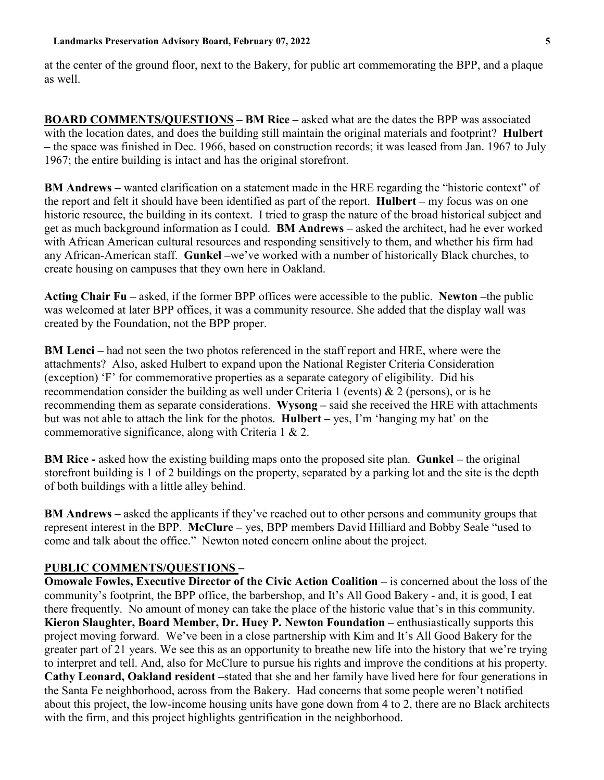at the center of the ground floor, next to the Bakery, for public art commemorating the BPP, and a plaque as well.

**BOARD COMMENTS/QUESTIONS – BM Rice –** asked what are the dates the BPP was associated with the location dates, and does the building still maintain the original materials and footprint? **Hulbert –** the space was finished in Dec. 1966, based on construction records; it was leased from Jan. 1967 to July 1967; the entire building is intact and has the original storefront.

**BM Andrews –** wanted clarification on a statement made in the HRE regarding the "historic context" of the report and felt it should have been identified as part of the report. **Hulbert –** my focus was on one historic resource, the building in its context. I tried to grasp the nature of the broad historical subject and get as much background information as I could. **BM Andrews –** asked the architect, had he ever worked with African American cultural resources and responding sensitively to them, and whether his firm had any African-American staff. **Gunkel –**we've worked with a number of historically Black churches, to create housing on campuses that they own here in Oakland.

**Acting Chair Fu –** asked, if the former BPP offices were accessible to the public. **Newton –**the public was welcomed at later BPP offices, it was a community resource. She added that the display wall was created by the Foundation, not the BPP proper.

**BM Lenci** – had not seen the two photos referenced in the staff report and HRE, where were the attachments? Also, asked Hulbert to expand upon the National Register Criteria Consideration (exception) 'F' for commemorative properties as a separate category of eligibility. Did his recommendation consider the building as well under Criteria 1 (events)  $& 2$  (persons), or is he recommending them as separate considerations. **Wysong –** said she received the HRE with attachments but was not able to attach the link for the photos. **Hulbert –** yes, I'm 'hanging my hat' on the commemorative significance, along with Criteria 1 & 2.

**BM Rice -** asked how the existing building maps onto the proposed site plan. **Gunkel –** the original storefront building is 1 of 2 buildings on the property, separated by a parking lot and the site is the depth of both buildings with a little alley behind.

**BM Andrews –** asked the applicants if they've reached out to other persons and community groups that represent interest in the BPP. **McClure –** yes, BPP members David Hilliard and Bobby Seale "used to come and talk about the office." Newton noted concern online about the project.

## **PUBLIC COMMENTS/QUESTIONS –**

**Omowale Fowles, Executive Director of the Civic Action Coalition –** is concerned about the loss of the community's footprint, the BPP office, the barbershop, and It's All Good Bakery - and, it is good, I eat there frequently. No amount of money can take the place of the historic value that's in this community. **Kieron Slaughter, Board Member, Dr. Huey P. Newton Foundation –** enthusiastically supports this project moving forward. We've been in a close partnership with Kim and It's All Good Bakery for the greater part of 21 years. We see this as an opportunity to breathe new life into the history that we're trying to interpret and tell. And, also for McClure to pursue his rights and improve the conditions at his property. **Cathy Leonard, Oakland resident –**stated that she and her family have lived here for four generations in the Santa Fe neighborhood, across from the Bakery. Had concerns that some people weren't notified about this project, the low-income housing units have gone down from 4 to 2, there are no Black architects with the firm, and this project highlights gentrification in the neighborhood.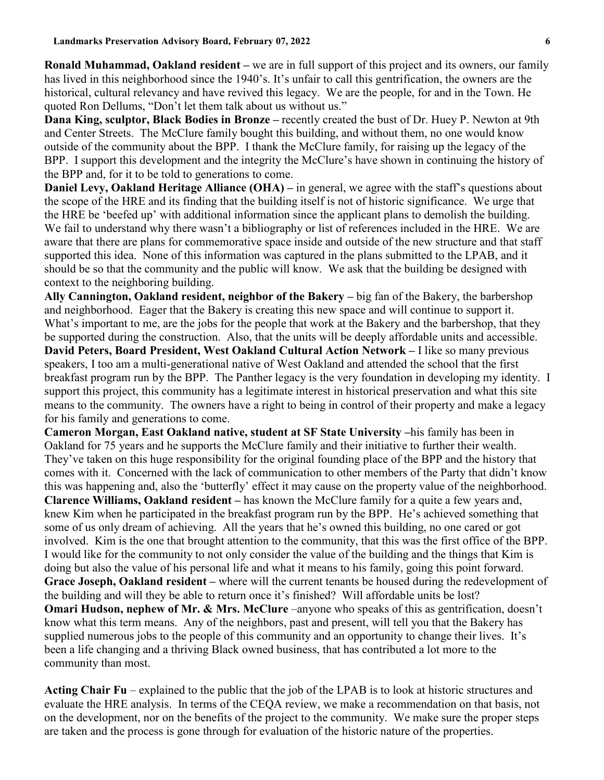**Ronald Muhammad, Oakland resident –** we are in full support of this project and its owners, our family has lived in this neighborhood since the 1940's. It's unfair to call this gentrification, the owners are the historical, cultural relevancy and have revived this legacy. We are the people, for and in the Town. He quoted Ron Dellums, "Don't let them talk about us without us."

**Dana King, sculptor, Black Bodies in Bronze –** recently created the bust of Dr. Huey P. Newton at 9th and Center Streets. The McClure family bought this building, and without them, no one would know outside of the community about the BPP. I thank the McClure family, for raising up the legacy of the BPP. I support this development and the integrity the McClure's have shown in continuing the history of the BPP and, for it to be told to generations to come.

**Daniel Levy, Oakland Heritage Alliance (OHA)** – in general, we agree with the staff's questions about the scope of the HRE and its finding that the building itself is not of historic significance. We urge that the HRE be 'beefed up' with additional information since the applicant plans to demolish the building. We fail to understand why there wasn't a bibliography or list of references included in the HRE. We are aware that there are plans for commemorative space inside and outside of the new structure and that staff supported this idea. None of this information was captured in the plans submitted to the LPAB, and it should be so that the community and the public will know. We ask that the building be designed with context to the neighboring building.

**Ally Cannington, Oakland resident, neighbor of the Bakery –** big fan of the Bakery, the barbershop and neighborhood. Eager that the Bakery is creating this new space and will continue to support it. What's important to me, are the jobs for the people that work at the Bakery and the barbershop, that they be supported during the construction. Also, that the units will be deeply affordable units and accessible.

**David Peters, Board President, West Oakland Cultural Action Network –** I like so many previous speakers, I too am a multi-generational native of West Oakland and attended the school that the first breakfast program run by the BPP. The Panther legacy is the very foundation in developing my identity. I support this project, this community has a legitimate interest in historical preservation and what this site means to the community. The owners have a right to being in control of their property and make a legacy for his family and generations to come.

**Cameron Morgan, East Oakland native, student at SF State University –**his family has been in Oakland for 75 years and he supports the McClure family and their initiative to further their wealth. They've taken on this huge responsibility for the original founding place of the BPP and the history that comes with it. Concerned with the lack of communication to other members of the Party that didn't know this was happening and, also the 'butterfly' effect it may cause on the property value of the neighborhood. **Clarence Williams, Oakland resident –** has known the McClure family for a quite a few years and, knew Kim when he participated in the breakfast program run by the BPP. He's achieved something that some of us only dream of achieving. All the years that he's owned this building, no one cared or got involved. Kim is the one that brought attention to the community, that this was the first office of the BPP. I would like for the community to not only consider the value of the building and the things that Kim is doing but also the value of his personal life and what it means to his family, going this point forward. **Grace Joseph, Oakland resident –** where will the current tenants be housed during the redevelopment of the building and will they be able to return once it's finished? Will affordable units be lost? **Omari Hudson, nephew of Mr. & Mrs. McClure** –anyone who speaks of this as gentrification, doesn't know what this term means. Any of the neighbors, past and present, will tell you that the Bakery has supplied numerous jobs to the people of this community and an opportunity to change their lives. It's been a life changing and a thriving Black owned business, that has contributed a lot more to the community than most.

**Acting Chair Fu** – explained to the public that the job of the LPAB is to look at historic structures and evaluate the HRE analysis. In terms of the CEQA review, we make a recommendation on that basis, not on the development, nor on the benefits of the project to the community. We make sure the proper steps are taken and the process is gone through for evaluation of the historic nature of the properties.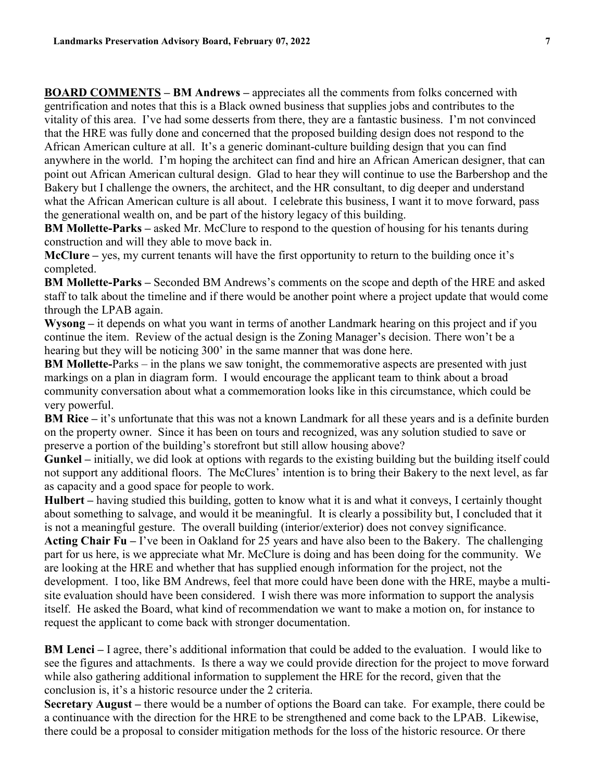**BOARD COMMENTS – BM Andrews –** appreciates all the comments from folks concerned with gentrification and notes that this is a Black owned business that supplies jobs and contributes to the vitality of this area. I've had some desserts from there, they are a fantastic business. I'm not convinced that the HRE was fully done and concerned that the proposed building design does not respond to the African American culture at all. It's a generic dominant-culture building design that you can find anywhere in the world. I'm hoping the architect can find and hire an African American designer, that can point out African American cultural design. Glad to hear they will continue to use the Barbershop and the Bakery but I challenge the owners, the architect, and the HR consultant, to dig deeper and understand what the African American culture is all about. I celebrate this business, I want it to move forward, pass the generational wealth on, and be part of the history legacy of this building.

**BM Mollette-Parks** – asked Mr. McClure to respond to the question of housing for his tenants during construction and will they able to move back in.

**McClure –** yes, my current tenants will have the first opportunity to return to the building once it's completed.

**BM Mollette-Parks –** Seconded BM Andrews's comments on the scope and depth of the HRE and asked staff to talk about the timeline and if there would be another point where a project update that would come through the LPAB again.

**Wysong –** it depends on what you want in terms of another Landmark hearing on this project and if you continue the item. Review of the actual design is the Zoning Manager's decision. There won't be a hearing but they will be noticing 300' in the same manner that was done here.

**BM Mollette-**Parks – in the plans we saw tonight, the commemorative aspects are presented with just markings on a plan in diagram form. I would encourage the applicant team to think about a broad community conversation about what a commemoration looks like in this circumstance, which could be very powerful.

**BM Rice** – it's unfortunate that this was not a known Landmark for all these years and is a definite burden on the property owner. Since it has been on tours and recognized, was any solution studied to save or preserve a portion of the building's storefront but still allow housing above?

**Gunkel –** initially, we did look at options with regards to the existing building but the building itself could not support any additional floors. The McClures' intention is to bring their Bakery to the next level, as far as capacity and a good space for people to work.

**Hulbert –** having studied this building, gotten to know what it is and what it conveys, I certainly thought about something to salvage, and would it be meaningful. It is clearly a possibility but, I concluded that it is not a meaningful gesture. The overall building (interior/exterior) does not convey significance.

**Acting Chair Fu –** I've been in Oakland for 25 years and have also been to the Bakery. The challenging part for us here, is we appreciate what Mr. McClure is doing and has been doing for the community. We are looking at the HRE and whether that has supplied enough information for the project, not the development. I too, like BM Andrews, feel that more could have been done with the HRE, maybe a multisite evaluation should have been considered. I wish there was more information to support the analysis itself. He asked the Board, what kind of recommendation we want to make a motion on, for instance to request the applicant to come back with stronger documentation.

**BM Lenci –** I agree, there's additional information that could be added to the evaluation. I would like to see the figures and attachments. Is there a way we could provide direction for the project to move forward while also gathering additional information to supplement the HRE for the record, given that the conclusion is, it's a historic resource under the 2 criteria.

**Secretary August –** there would be a number of options the Board can take. For example, there could be a continuance with the direction for the HRE to be strengthened and come back to the LPAB. Likewise, there could be a proposal to consider mitigation methods for the loss of the historic resource. Or there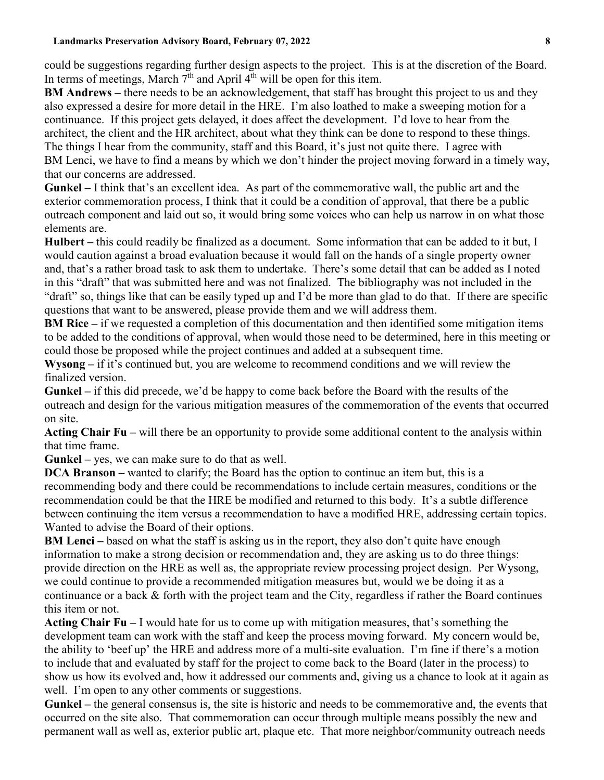could be suggestions regarding further design aspects to the project. This is at the discretion of the Board. In terms of meetings, March  $7<sup>th</sup>$  and April  $4<sup>th</sup>$  will be open for this item.

**BM Andrews –** there needs to be an acknowledgement, that staff has brought this project to us and they also expressed a desire for more detail in the HRE. I'm also loathed to make a sweeping motion for a continuance. If this project gets delayed, it does affect the development. I'd love to hear from the architect, the client and the HR architect, about what they think can be done to respond to these things. The things I hear from the community, staff and this Board, it's just not quite there. I agree with BM Lenci, we have to find a means by which we don't hinder the project moving forward in a timely way, that our concerns are addressed.

**Gunkel –** I think that's an excellent idea. As part of the commemorative wall, the public art and the exterior commemoration process, I think that it could be a condition of approval, that there be a public outreach component and laid out so, it would bring some voices who can help us narrow in on what those elements are.

**Hulbert –** this could readily be finalized as a document. Some information that can be added to it but, I would caution against a broad evaluation because it would fall on the hands of a single property owner and, that's a rather broad task to ask them to undertake. There's some detail that can be added as I noted in this "draft" that was submitted here and was not finalized. The bibliography was not included in the "draft" so, things like that can be easily typed up and I'd be more than glad to do that. If there are specific questions that want to be answered, please provide them and we will address them.

**BM Rice** – if we requested a completion of this documentation and then identified some mitigation items to be added to the conditions of approval, when would those need to be determined, here in this meeting or could those be proposed while the project continues and added at a subsequent time.

**Wysong –** if it's continued but, you are welcome to recommend conditions and we will review the finalized version.

**Gunkel –** if this did precede, we'd be happy to come back before the Board with the results of the outreach and design for the various mitigation measures of the commemoration of the events that occurred on site.

**Acting Chair Fu –** will there be an opportunity to provide some additional content to the analysis within that time frame.

**Gunkel –** yes, we can make sure to do that as well.

**DCA Branson** – wanted to clarify; the Board has the option to continue an item but, this is a recommending body and there could be recommendations to include certain measures, conditions or the recommendation could be that the HRE be modified and returned to this body. It's a subtle difference between continuing the item versus a recommendation to have a modified HRE, addressing certain topics. Wanted to advise the Board of their options.

**BM Lenci** – based on what the staff is asking us in the report, they also don't quite have enough information to make a strong decision or recommendation and, they are asking us to do three things: provide direction on the HRE as well as, the appropriate review processing project design. Per Wysong, we could continue to provide a recommended mitigation measures but, would we be doing it as a continuance or a back & forth with the project team and the City, regardless if rather the Board continues this item or not.

**Acting Chair Fu –** I would hate for us to come up with mitigation measures, that's something the development team can work with the staff and keep the process moving forward. My concern would be, the ability to 'beef up' the HRE and address more of a multi-site evaluation. I'm fine if there's a motion to include that and evaluated by staff for the project to come back to the Board (later in the process) to show us how its evolved and, how it addressed our comments and, giving us a chance to look at it again as well. I'm open to any other comments or suggestions.

**Gunkel –** the general consensus is, the site is historic and needs to be commemorative and, the events that occurred on the site also. That commemoration can occur through multiple means possibly the new and permanent wall as well as, exterior public art, plaque etc. That more neighbor/community outreach needs